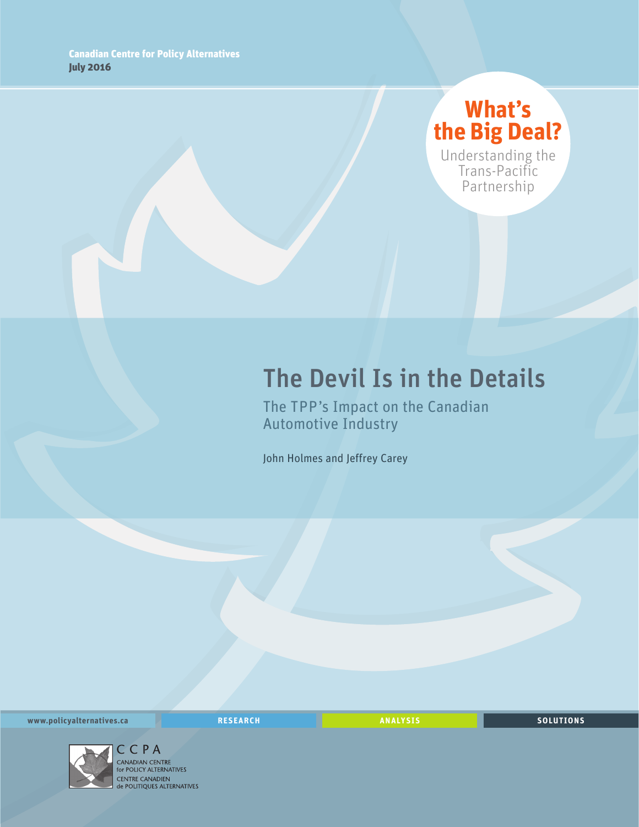## **What's the Big Deal?**

Understanding the Trans-Pacific Partnership

# The Devil Is in the Details

The TPP's Impact on the Canadian Automotive Industry

John Holmes and Jeffrey Carey

**www.policyalternatives.ca RESEARCH ANALYSIS SOLUTIONS**



C C P A<br>CANADIAN CENTRE for POLICY ALTERNATIVES CENTRE CANADIEN<br> **CENTRE CANADIEN<br>
de POLITIQUES ALTERNATIVES**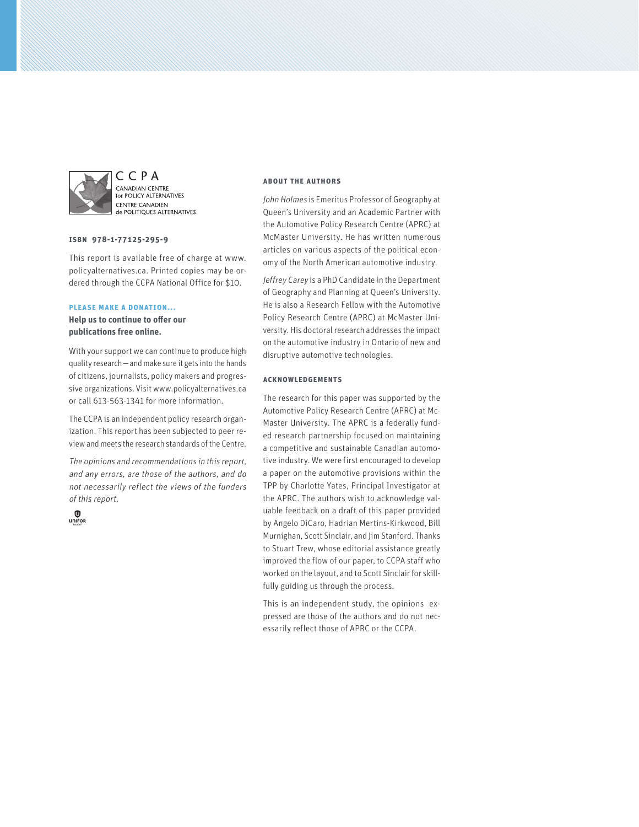

CCPA CANADIAN CENTRE for POLICY ALTERNATIVES **CENTRE CANADIEN CENTRE CANADIEN** 

#### **ISBN 978-1-77125-295-9**

This report is available free of charge at www. policyalternatives.ca. Printed copies may be ordered through the CCPA National Office for \$10.

#### **Please make a donation...**

**Help us to continue to offer our publications free online.**

With your support we can continue to produce high quality research—and make sure it gets into the hands of citizens, journalists, policy makers and progressive organizations. Visit www.policyalternatives.ca or call 613-563-1341 for more information.

The CCPA is an independent policy research organization. This report has been subjected to peer review and meets the research standards of the Centre.

The opinions and recommendations in this report, and any errors, are those of the authors, and do not necessarily reflect the views of the funders of this report.



#### **About the authors**

John Holmes is Emeritus Professor of Geography at Queen's University and an Academic Partner with the Automotive Policy Research Centre (APRC) at McMaster University. He has written numerous articles on various aspects of the political economy of the North American automotive industry.

Jeffrey Carey is a PhD Candidate in the Department of Geography and Planning at Queen's University. He is also a Research Fellow with the Automotive Policy Research Centre (APRC) at McMaster University. His doctoral research addresses the impact on the automotive industry in Ontario of new and disruptive automotive technologies.

#### **Acknowledgements**

The research for this paper was supported by the Automotive Policy Research Centre (APRC) at Mc-Master University. The APRC is a federally funded research partnership focused on maintaining a competitive and sustainable Canadian automotive industry. We were first encouraged to develop a paper on the automotive provisions within the TPP by Charlotte Yates, Principal Investigator at the APRC. The authors wish to acknowledge valuable feedback on a draft of this paper provided by Angelo DiCaro, Hadrian Mertins-Kirkwood, Bill Murnighan, Scott Sinclair, and Jim Stanford. Thanks to Stuart Trew, whose editorial assistance greatly improved the flow of our paper, to CCPA staff who worked on the layout, and to Scott Sinclair for skillfully guiding us through the process.

This is an independent study, the opinions expressed are those of the authors and do not necessarily reflect those of APRC or the CCPA.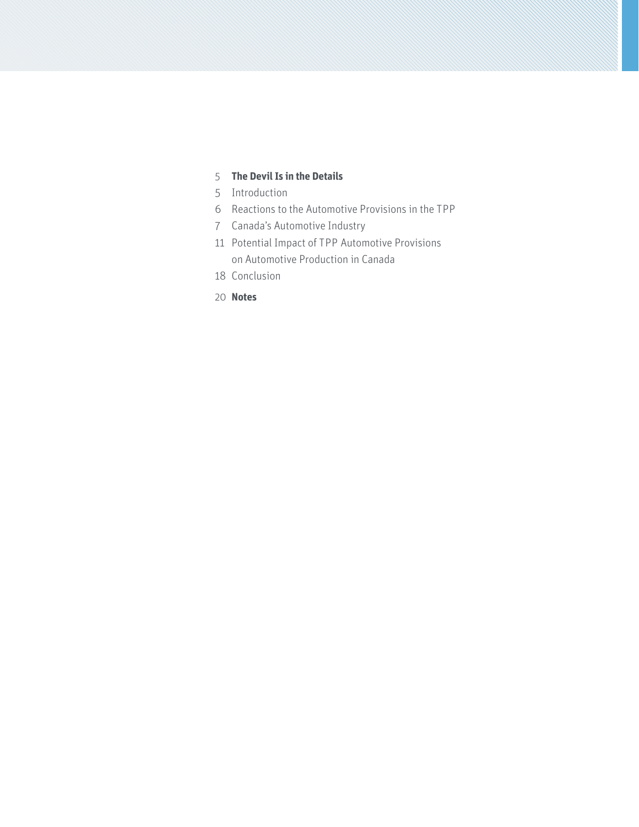## **[The Devil Is in the Details](#page-4-0)**

- [Introduction](#page-4-0)
- [Reactions to the Automotive Provisions in the TPP](#page-5-0)
- [Canada's Automotive Industry](#page-6-0)
- [Potential Impact of TPP Automotive Provisions](#page-10-0)  [on Automotive Production in Canada](#page-10-0)
- [Conclusion](#page-17-0)
- **[Notes](#page-19-0)**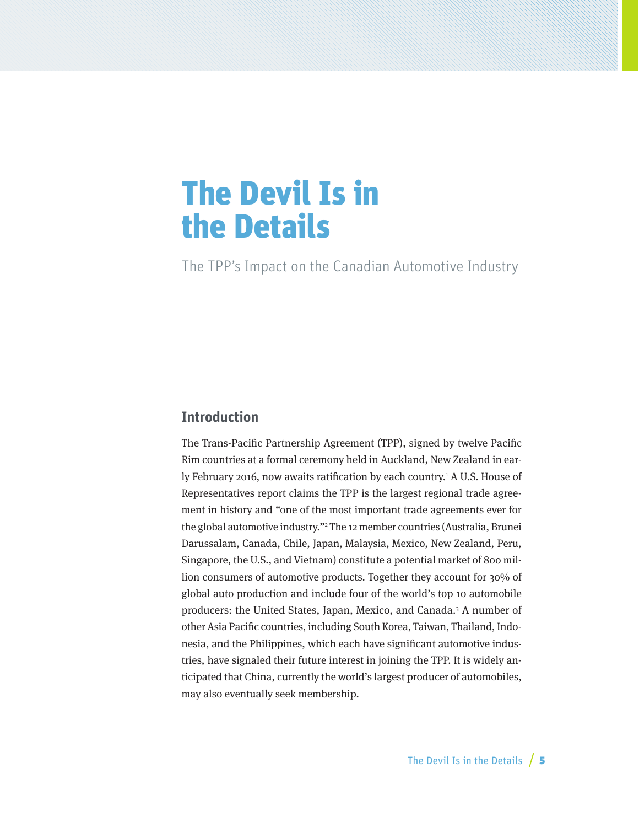# <span id="page-4-0"></span>The Devil Is in the Details

The TPP's Impact on the Canadian Automotive Industry

## **Introduction**

The Trans-Pacific Partnership Agreement (TPP), signed by twelve Pacific Rim countries at a formal ceremony held in Auckland, New Zealand in early February 2016, now awaits ratification by each country.<sup>1</sup> A U.S. House of Representatives report claims the TPP is the largest regional trade agreement in history and "one of the most important trade agreements ever for the global automotive industry."2 The 12 member countries (Australia, Brunei Darussalam, Canada, Chile, Japan, Malaysia, Mexico, New Zealand, Peru, Singapore, the U.S., and Vietnam) constitute a potential market of 800 million consumers of automotive products. Together they account for 30% of global auto production and include four of the world's top 10 automobile producers: the United States, Japan, Mexico, and Canada.3 A number of other Asia Pacific countries, including South Korea, Taiwan, Thailand, Indonesia, and the Philippines, which each have significant automotive industries, have signaled their future interest in joining the TPP. It is widely anticipated that China, currently the world's largest producer of automobiles, may also eventually seek membership.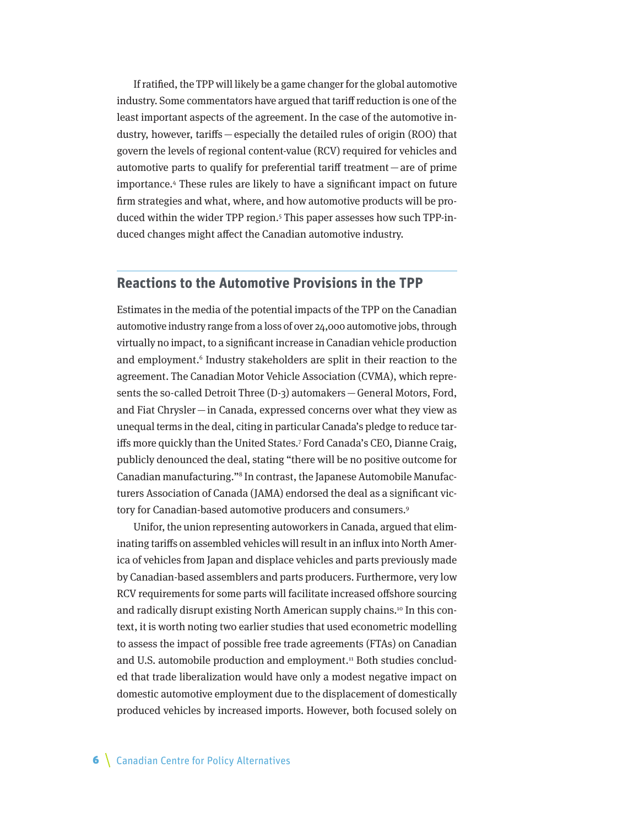<span id="page-5-0"></span>If ratified, the TPP will likely be a game changer for the global automotive industry. Some commentators have argued that tariff reduction is one of the least important aspects of the agreement. In the case of the automotive industry, however, tariffs—especially the detailed rules of origin (ROO) that govern the levels of regional content-value (RCV) required for vehicles and automotive parts to qualify for preferential tariff treatment—are of prime importance.4 These rules are likely to have a significant impact on future firm strategies and what, where, and how automotive products will be produced within the wider TPP region.<sup>5</sup> This paper assesses how such TPP-induced changes might affect the Canadian automotive industry.

## **Reactions to the Automotive Provisions in the TPP**

Estimates in the media of the potential impacts of the TPP on the Canadian automotive industry range from a loss of over 24,000 automotive jobs, through virtually no impact, to a significant increase in Canadian vehicle production and employment.<sup>6</sup> Industry stakeholders are split in their reaction to the agreement. The Canadian Motor Vehicle Association (CVMA), which represents the so-called Detroit Three (D-3) automakers—General Motors, Ford, and Fiat Chrysler—in Canada, expressed concerns over what they view as unequal terms in the deal, citing in particular Canada's pledge to reduce tariffs more quickly than the United States.7 Ford Canada's CEO, Dianne Craig, publicly denounced the deal, stating "there will be no positive outcome for Canadian manufacturing."8 In contrast, the Japanese Automobile Manufacturers Association of Canada (JAMA) endorsed the deal as a significant victory for Canadian-based automotive producers and consumers.<sup>9</sup>

Unifor, the union representing autoworkers in Canada, argued that eliminating tariffs on assembled vehicles will result in an influx into North America of vehicles from Japan and displace vehicles and parts previously made by Canadian-based assemblers and parts producers. Furthermore, very low RCV requirements for some parts will facilitate increased offshore sourcing and radically disrupt existing North American supply chains.10 In this context, it is worth noting two earlier studies that used econometric modelling to assess the impact of possible free trade agreements (FTAs) on Canadian and U.S. automobile production and employment.<sup>11</sup> Both studies concluded that trade liberalization would have only a modest negative impact on domestic automotive employment due to the displacement of domestically produced vehicles by increased imports. However, both focused solely on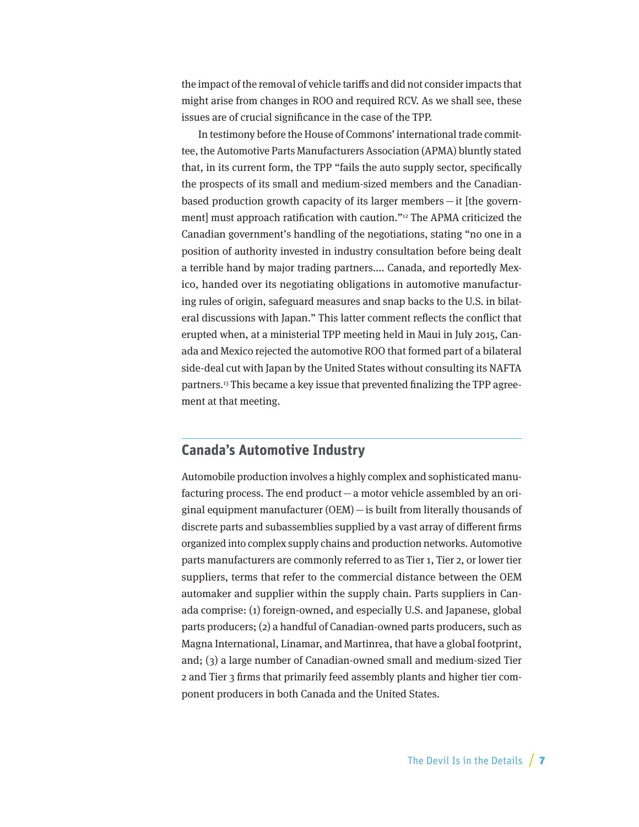<span id="page-6-0"></span>the impact of the removal of vehicle tariffs and did not consider impacts that might arise from changes in ROO and required RCV. As we shall see, these issues are of crucial significance in the case of the TPP.

In testimony before the House of Commons' international trade committee, the Automotive Parts Manufacturers Association (APMA) bluntly stated that, in its current form, the TPP "fails the auto supply sector, specifically the prospects of its small and medium-sized members and the Canadianbased production growth capacity of its larger members —it [the government] must approach ratification with caution."12 The APMA criticized the Canadian government's handling of the negotiations, stating "no one in a position of authority invested in industry consultation before being dealt a terrible hand by major trading partners.... Canada, and reportedly Mexico, handed over its negotiating obligations in automotive manufacturing rules of origin, safeguard measures and snap backs to the U.S. in bilateral discussions with Japan." This latter comment reflects the conflict that erupted when, at a ministerial TPP meeting held in Maui in July 2015, Canada and Mexico rejected the automotive ROO that formed part of a bilateral side-deal cut with Japan by the United States without consulting its NAFTA partners.<sup>13</sup> This became a key issue that prevented finalizing the TPP agreement at that meeting.

## **Canada's Automotive Industry**

Automobile production involves a highly complex and sophisticated manufacturing process. The end product—a motor vehicle assembled by an original equipment manufacturer (OEM)—is built from literally thousands of discrete parts and subassemblies supplied by a vast array of different firms organized into complex supply chains and production networks. Automotive parts manufacturers are commonly referred to as Tier 1, Tier 2, or lower tier suppliers, terms that refer to the commercial distance between the OEM automaker and supplier within the supply chain. Parts suppliers in Canada comprise: (1) foreign-owned, and especially U.S. and Japanese, global parts producers; (2) a handful of Canadian-owned parts producers, such as Magna International, Linamar, and Martinrea, that have a global footprint, and; (3) a large number of Canadian-owned small and medium-sized Tier 2 and Tier 3 firms that primarily feed assembly plants and higher tier component producers in both Canada and the United States.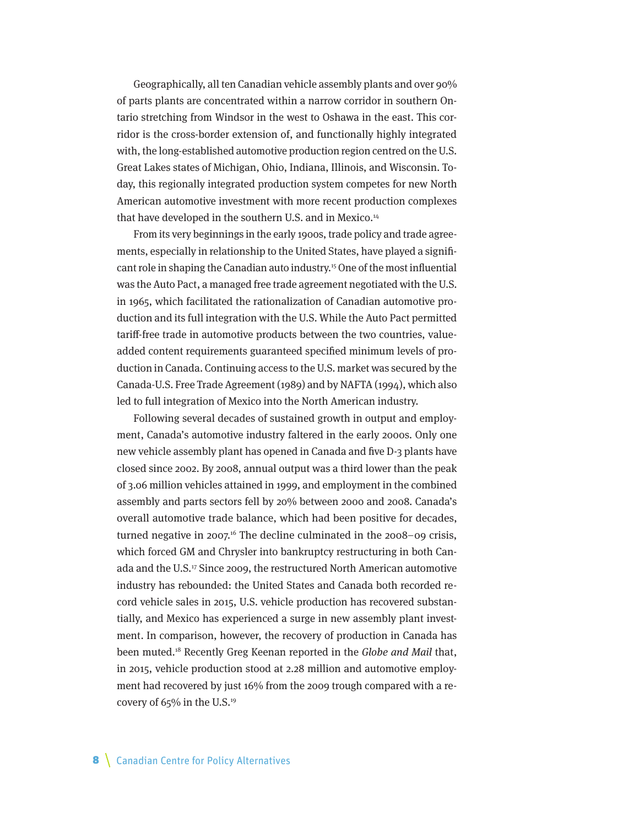Geographically, all ten Canadian vehicle assembly plants and over 90% of parts plants are concentrated within a narrow corridor in southern Ontario stretching from Windsor in the west to Oshawa in the east. This corridor is the cross-border extension of, and functionally highly integrated with, the long-established automotive production region centred on the U.S. Great Lakes states of Michigan, Ohio, Indiana, Illinois, and Wisconsin. Today, this regionally integrated production system competes for new North American automotive investment with more recent production complexes that have developed in the southern U.S. and in Mexico.<sup>14</sup>

From its very beginnings in the early 1900s, trade policy and trade agreements, especially in relationship to the United States, have played a significant role in shaping the Canadian auto industry.15 One of the most influential was the Auto Pact, a managed free trade agreement negotiated with the U.S. in 1965, which facilitated the rationalization of Canadian automotive production and its full integration with the U.S. While the Auto Pact permitted tariff-free trade in automotive products between the two countries, valueadded content requirements guaranteed specified minimum levels of production in Canada. Continuing access to the U.S. market was secured by the Canada-U.S. Free Trade Agreement (1989) and by NAFTA (1994), which also led to full integration of Mexico into the North American industry.

Following several decades of sustained growth in output and employment, Canada's automotive industry faltered in the early 2000s. Only one new vehicle assembly plant has opened in Canada and five D-3 plants have closed since 2002. By 2008, annual output was a third lower than the peak of 3.06 million vehicles attained in 1999, and employment in the combined assembly and parts sectors fell by 20% between 2000 and 2008. Canada's overall automotive trade balance, which had been positive for decades, turned negative in 2007.<sup>16</sup> The decline culminated in the 2008–09 crisis, which forced GM and Chrysler into bankruptcy restructuring in both Canada and the U.S.17 Since 2009, the restructured North American automotive industry has rebounded: the United States and Canada both recorded record vehicle sales in 2015, U.S. vehicle production has recovered substantially, and Mexico has experienced a surge in new assembly plant investment. In comparison, however, the recovery of production in Canada has been muted.<sup>18</sup> Recently Greg Keenan reported in the Globe and Mail that, in 2015, vehicle production stood at 2.28 million and automotive employment had recovered by just 16% from the 2009 trough compared with a recovery of 65% in the U.S.19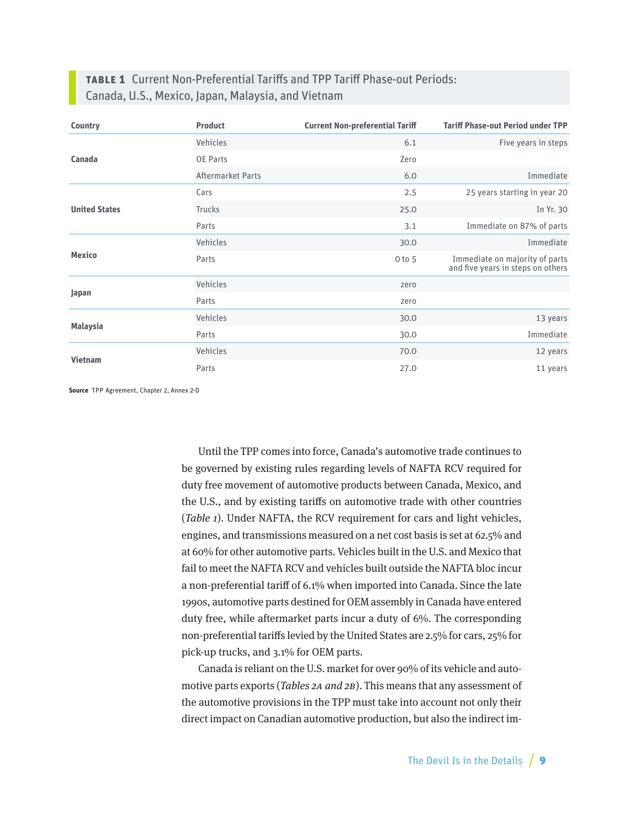## **Table 1** Current Non-Preferential Tariffs and TPP Tariff Phase-out Periods: Canada, U.S., Mexico, Japan, Malaysia, and Vietnam

| <b>Country</b>       | <b>Product</b>    | <b>Current Non-preferential Tariff</b> | <b>Tariff Phase-out Period under TPP</b>                            |
|----------------------|-------------------|----------------------------------------|---------------------------------------------------------------------|
|                      | Vehicles          | 6.1                                    | Five years in steps                                                 |
| Canada               | <b>OE Parts</b>   | Zero                                   |                                                                     |
|                      | Aftermarket Parts | 6.0                                    | Immediate                                                           |
|                      | Cars              | 2.5                                    | 25 years starting in year 20                                        |
| <b>United States</b> | Trucks            | 25.0                                   | In Yr. 30                                                           |
|                      | Parts             | 3.1                                    | Immediate on 87% of parts                                           |
| <b>Mexico</b>        | Vehicles          | 30.0                                   | Immediate                                                           |
|                      | Parts             | $0$ to $5$                             | Immediate on majority of parts<br>and five years in steps on others |
| Japan                | Vehicles          | zero                                   |                                                                     |
|                      | Parts             | zero                                   |                                                                     |
|                      | Vehicles          | 30.0                                   | 13 years                                                            |
| <b>Malaysia</b>      | Parts             | 30.0                                   | Immediate                                                           |
| <b>Vietnam</b>       | Vehicles          | 70.0                                   | 12 years                                                            |
|                      | Parts             | 27.0                                   | 11 years                                                            |

**Source** TPP Agreement, Chapter 2, Annex 2-D

Until the TPP comes into force, Canada's automotive trade continues to be governed by existing rules regarding levels of NAFTA RCV required for duty free movement of automotive products between Canada, Mexico, and the U.S., and by existing tariffs on automotive trade with other countries (Table 1). Under NAFTA, the RCV requirement for cars and light vehicles, engines, and transmissions measured on a net cost basis is set at 62.5% and at 60% for other automotive parts. Vehicles built in the U.S. and Mexico that fail to meet the NAFTA RCV and vehicles built outside the NAFTA bloc incur a non-preferential tariff of 6.1% when imported into Canada. Since the late 1990s, automotive parts destined for OEM assembly in Canada have entered duty free, while aftermarket parts incur a duty of 6%. The corresponding non-preferential tariffs levied by the United States are 2.5% for cars, 25% for pick-up trucks, and 3.1% for OEM parts.

Canada is reliant on the U.S. market for over 90% of its vehicle and automotive parts exports (Tables 2A and 2B). This means that any assessment of the automotive provisions in the TPP must take into account not only their direct impact on Canadian automotive production, but also the indirect im-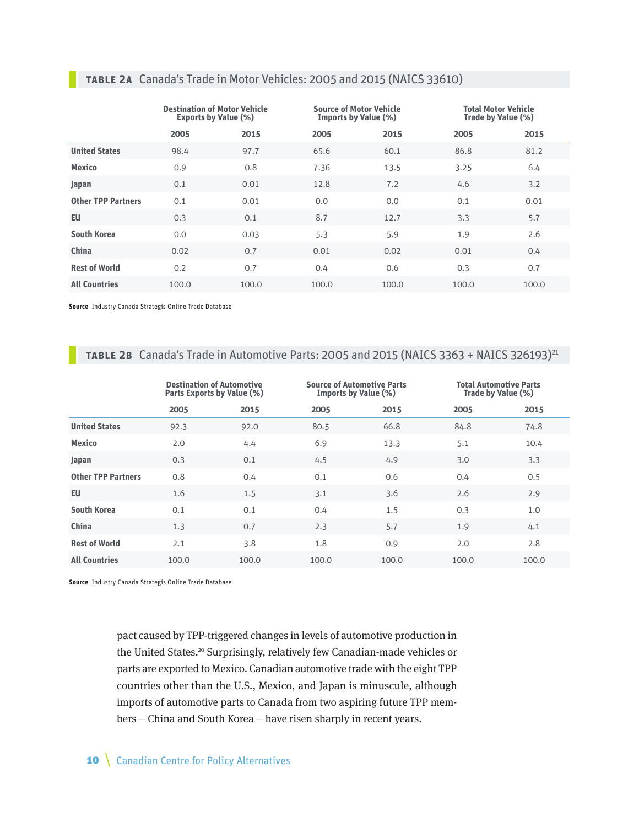| <b>TABLE 2A</b> Canada's Trade in Motor Vehicles: 2005 and 2015 (NAICS 33610) |                                |                    |
|-------------------------------------------------------------------------------|--------------------------------|--------------------|
| <b>Destination of Motor Vehicle</b>                                           | <b>Source of Motor Vehicle</b> | <b>Total Motor</b> |

|                           | <b>Destination of Motor Vehicle</b><br><b>Exports by Value (%)</b> |       |       | Source of Motor Vehicle<br>Imports by Value (%) | <b>Total Motor Vehicle</b><br>Trade by Value (%) |       |  |
|---------------------------|--------------------------------------------------------------------|-------|-------|-------------------------------------------------|--------------------------------------------------|-------|--|
|                           | 2005                                                               | 2015  | 2005  | 2015                                            | 2005                                             | 2015  |  |
| <b>United States</b>      | 98.4                                                               | 97.7  | 65.6  | 60.1                                            | 86.8                                             | 81.2  |  |
| <b>Mexico</b>             | 0.9                                                                | 0.8   | 7.36  | 13.5                                            | 3.25                                             | 6.4   |  |
| Japan                     | 0.1                                                                | 0.01  | 12.8  | 7.2                                             | 4.6                                              | 3.2   |  |
| <b>Other TPP Partners</b> | 0.1                                                                | 0.01  | 0.0   | 0.0                                             | 0.1                                              | 0.01  |  |
| <b>EU</b>                 | 0.3                                                                | 0.1   | 8.7   | 12.7                                            | 3.3                                              | 5.7   |  |
| <b>South Korea</b>        | 0.0                                                                | 0.03  | 5.3   | 5.9                                             | 1.9                                              | 2.6   |  |
| China                     | 0.02                                                               | 0.7   | 0.01  | 0.02                                            | 0.01                                             | 0.4   |  |
| <b>Rest of World</b>      | 0.2                                                                | 0.7   | 0.4   | 0.6                                             | 0.3                                              | 0.7   |  |
| <b>All Countries</b>      | 100.0                                                              | 100.0 | 100.0 | 100.0                                           | 100.0                                            | 100.0 |  |

**Source** Industry Canada Strategis Online Trade Database

## **TABLE 2B** Canada's Trade in Automotive Parts: 2005 and 2015 (NAICS 3363 + NAICS 326193)<sup>21</sup>

|                           |       | <b>Destination of Automotive</b><br>Parts Exports by Value (%) | <b>Source of Automotive Parts</b><br>Imports by Value (%) |       |       | <b>Total Automotive Parts</b><br>Trade by Value (%) |
|---------------------------|-------|----------------------------------------------------------------|-----------------------------------------------------------|-------|-------|-----------------------------------------------------|
|                           |       |                                                                |                                                           |       |       |                                                     |
|                           | 2005  | 2015                                                           | 2005                                                      | 2015  | 2005  | 2015                                                |
| <b>United States</b>      | 92.3  | 92.0                                                           | 80.5                                                      | 66.8  | 84.8  | 74.8                                                |
| <b>Mexico</b>             | 2.0   | 4.4                                                            | 6.9                                                       | 13.3  | 5.1   | 10.4                                                |
| Japan                     | 0.3   | 0.1                                                            | 4.5                                                       | 4.9   | 3.0   | 3.3                                                 |
| <b>Other TPP Partners</b> | 0.8   | 0.4                                                            | 0.1                                                       | 0.6   | 0.4   | 0.5                                                 |
| <b>EU</b>                 | 1.6   | 1.5                                                            | 3.1                                                       | 3.6   | 2.6   | 2.9                                                 |
| <b>South Korea</b>        | 0.1   | 0.1                                                            | 0.4                                                       | 1.5   | 0.3   | 1.0                                                 |
| China                     | 1.3   | 0.7                                                            | 2.3                                                       | 5.7   | 1.9   | 4.1                                                 |
| <b>Rest of World</b>      | 2.1   | 3.8                                                            | 1.8                                                       | 0.9   | 2.0   | 2.8                                                 |
| <b>All Countries</b>      | 100.0 | 100.0                                                          | 100.0                                                     | 100.0 | 100.0 | 100.0                                               |

**Source** Industry Canada Strategis Online Trade Database

pact caused by TPP-triggered changes in levels of automotive production in the United States.<sup>20</sup> Surprisingly, relatively few Canadian-made vehicles or parts are exported to Mexico. Canadian automotive trade with the eight TPP countries other than the U.S., Mexico, and Japan is minuscule, although imports of automotive parts to Canada from two aspiring future TPP members—China and South Korea—have risen sharply in recent years.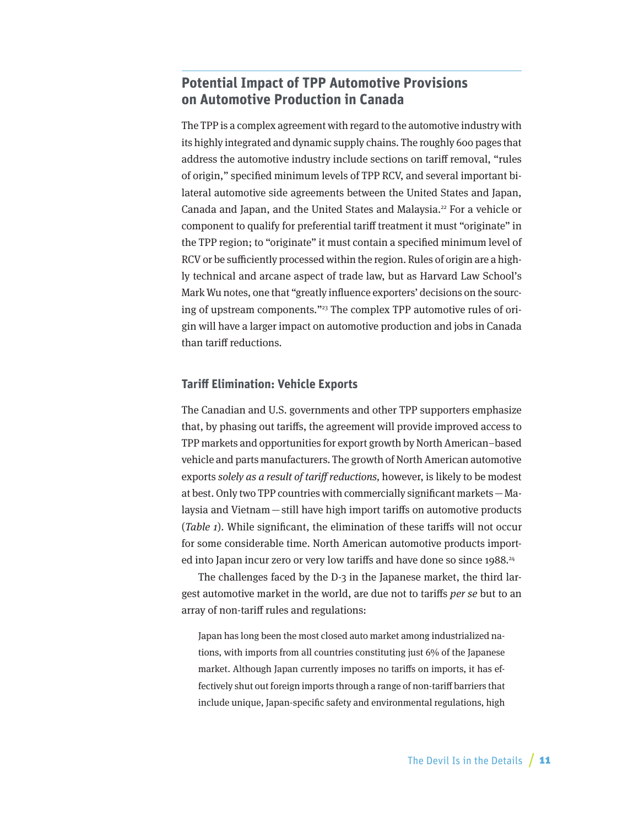## <span id="page-10-0"></span>**Potential Impact of TPP Automotive Provisions on Automotive Production in Canada**

The TPP is a complex agreement with regard to the automotive industry with its highly integrated and dynamic supply chains. The roughly 600 pages that address the automotive industry include sections on tariff removal, "rules of origin," specified minimum levels of TPP RCV, and several important bilateral automotive side agreements between the United States and Japan, Canada and Japan, and the United States and Malaysia.<sup>22</sup> For a vehicle or component to qualify for preferential tariff treatment it must "originate" in the TPP region; to "originate" it must contain a specified minimum level of RCV or be sufficiently processed within the region. Rules of origin are a highly technical and arcane aspect of trade law, but as Harvard Law School's Mark Wu notes, one that "greatly influence exporters' decisions on the sourcing of upstream components."23 The complex TPP automotive rules of origin will have a larger impact on automotive production and jobs in Canada than tariff reductions.

#### **Tariff Elimination: Vehicle Exports**

The Canadian and U.S. governments and other TPP supporters emphasize that, by phasing out tariffs, the agreement will provide improved access to TPP markets and opportunities for export growth by North American–based vehicle and parts manufacturers. The growth of North American automotive exports solely as a result of tariff reductions, however, is likely to be modest at best. Only two TPP countries with commercially significant markets—Malaysia and Vietnam—still have high import tariffs on automotive products (Table 1). While significant, the elimination of these tariffs will not occur for some considerable time. North American automotive products imported into Japan incur zero or very low tariffs and have done so since 1988.<sup>24</sup>

The challenges faced by the D-3 in the Japanese market, the third largest automotive market in the world, are due not to tariffs per se but to an array of non-tariff rules and regulations:

Japan has long been the most closed auto market among industrialized nations, with imports from all countries constituting just 6% of the Japanese market. Although Japan currently imposes no tariffs on imports, it has effectively shut out foreign imports through a range of non-tariff barriers that include unique, Japan-specific safety and environmental regulations, high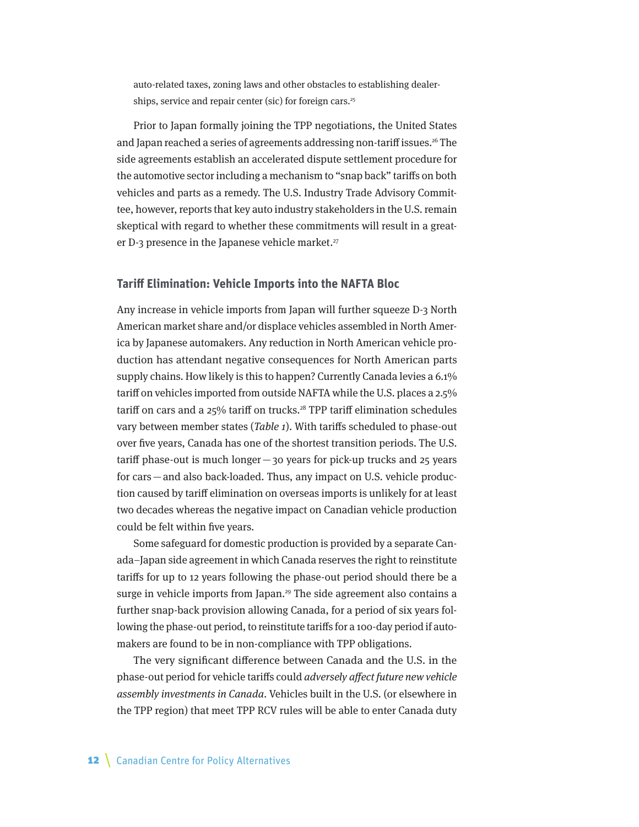auto-related taxes, zoning laws and other obstacles to establishing dealerships, service and repair center (sic) for foreign cars.<sup>25</sup>

Prior to Japan formally joining the TPP negotiations, the United States and Japan reached a series of agreements addressing non-tariff issues.<sup>26</sup> The side agreements establish an accelerated dispute settlement procedure for the automotive sector including a mechanism to "snap back" tariffs on both vehicles and parts as a remedy. The U.S. Industry Trade Advisory Committee, however, reports that key auto industry stakeholders in the U.S. remain skeptical with regard to whether these commitments will result in a greater D-3 presence in the Japanese vehicle market. $27$ 

#### **Tariff Elimination: Vehicle Imports into the NAFTA Bloc**

Any increase in vehicle imports from Japan will further squeeze D-3 North American market share and/or displace vehicles assembled in North America by Japanese automakers. Any reduction in North American vehicle production has attendant negative consequences for North American parts supply chains. How likely is this to happen? Currently Canada levies a 6.1% tariff on vehicles imported from outside NAFTA while the U.S. places a 2.5% tariff on cars and a 25% tariff on trucks.<sup>28</sup> TPP tariff elimination schedules vary between member states (*Table 1*). With tariffs scheduled to phase-out over five years, Canada has one of the shortest transition periods. The U.S. tariff phase-out is much longer—30 years for pick-up trucks and 25 years for cars—and also back-loaded. Thus, any impact on U.S. vehicle production caused by tariff elimination on overseas imports is unlikely for at least two decades whereas the negative impact on Canadian vehicle production could be felt within five years.

Some safeguard for domestic production is provided by a separate Canada–Japan side agreement in which Canada reserves the right to reinstitute tariffs for up to 12 years following the phase-out period should there be a surge in vehicle imports from Japan.<sup>29</sup> The side agreement also contains a further snap-back provision allowing Canada, for a period of six years following the phase-out period, to reinstitute tariffs for a 100-day period if automakers are found to be in non-compliance with TPP obligations.

The very significant difference between Canada and the U.S. in the phase-out period for vehicle tariffs could adversely affect future new vehicle assembly investments in Canada. Vehicles built in the U.S. (or elsewhere in the TPP region) that meet TPP RCV rules will be able to enter Canada duty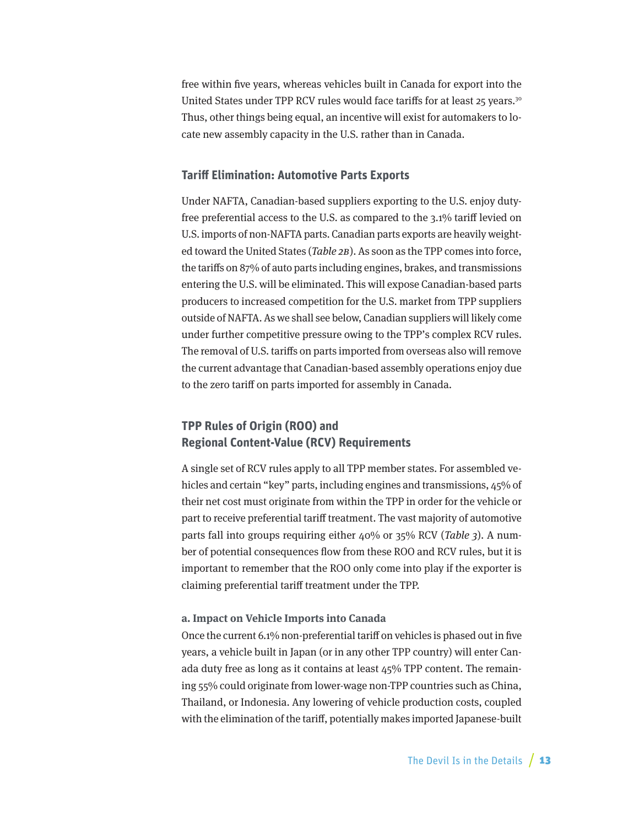free within five years, whereas vehicles built in Canada for export into the United States under TPP RCV rules would face tariffs for at least 25 years.<sup>30</sup> Thus, other things being equal, an incentive will exist for automakers to locate new assembly capacity in the U.S. rather than in Canada.

#### **Tariff Elimination: Automotive Parts Exports**

Under NAFTA, Canadian-based suppliers exporting to the U.S. enjoy dutyfree preferential access to the U.S. as compared to the 3.1% tariff levied on U.S. imports of non-NAFTA parts. Canadian parts exports are heavily weighted toward the United States (Table 2B). As soon as the TPP comes into force, the tariffs on 87% of auto parts including engines, brakes, and transmissions entering the U.S. will be eliminated. This will expose Canadian-based parts producers to increased competition for the U.S. market from TPP suppliers outside of NAFTA. As we shall see below, Canadian suppliers will likely come under further competitive pressure owing to the TPP's complex RCV rules. The removal of U.S. tariffs on parts imported from overseas also will remove the current advantage that Canadian-based assembly operations enjoy due to the zero tariff on parts imported for assembly in Canada.

## **TPP Rules of Origin (ROO) and Regional Content-Value (RCV) Requirements**

A single set of RCV rules apply to all TPP member states. For assembled vehicles and certain "key" parts, including engines and transmissions, 45% of their net cost must originate from within the TPP in order for the vehicle or part to receive preferential tariff treatment. The vast majority of automotive parts fall into groups requiring either 40% or 35% RCV (Table 3). A number of potential consequences flow from these ROO and RCV rules, but it is important to remember that the ROO only come into play if the exporter is claiming preferential tariff treatment under the TPP.

#### **a. Impact on Vehicle Imports into Canada**

Once the current 6.1% non-preferential tariff on vehicles is phased out in five years, a vehicle built in Japan (or in any other TPP country) will enter Canada duty free as long as it contains at least 45% TPP content. The remaining 55% could originate from lower-wage non-TPP countries such as China, Thailand, or Indonesia. Any lowering of vehicle production costs, coupled with the elimination of the tariff, potentially makes imported Japanese-built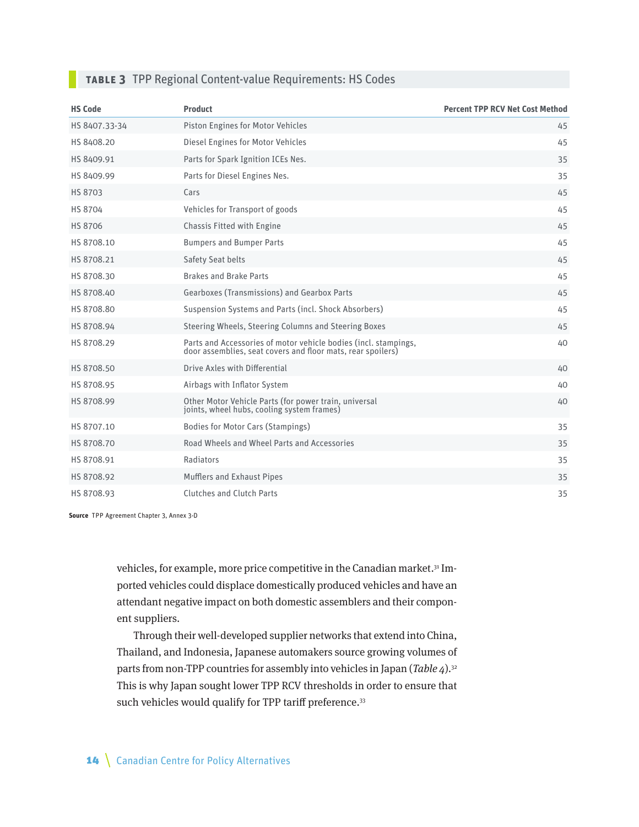#### **Table 3** TPP Regional Content-value Requirements: HS Codes

| <b>HS Code</b> | <b>Product</b>                                                                                                                 | <b>Percent TPP RCV Net Cost Method</b> |
|----------------|--------------------------------------------------------------------------------------------------------------------------------|----------------------------------------|
| HS 8407.33-34  | Piston Engines for Motor Vehicles                                                                                              | 45                                     |
| HS 8408.20     | Diesel Engines for Motor Vehicles                                                                                              | 45                                     |
| HS 8409.91     | Parts for Spark Ignition ICEs Nes.                                                                                             | 35                                     |
| HS 8409.99     | Parts for Diesel Engines Nes.                                                                                                  | 35                                     |
| HS 8703        | Cars                                                                                                                           | 45                                     |
| <b>HS 8704</b> | Vehicles for Transport of goods                                                                                                | 45                                     |
| <b>HS 8706</b> | Chassis Fitted with Engine                                                                                                     | 45                                     |
| HS 8708.10     | <b>Bumpers and Bumper Parts</b>                                                                                                | 45                                     |
| HS 8708.21     | Safety Seat belts                                                                                                              | 45                                     |
| HS 8708.30     | <b>Brakes and Brake Parts</b>                                                                                                  | 45                                     |
| HS 8708.40     | Gearboxes (Transmissions) and Gearbox Parts                                                                                    | 45                                     |
| HS 8708.80     | Suspension Systems and Parts (incl. Shock Absorbers)                                                                           | 45                                     |
| HS 8708.94     | Steering Wheels, Steering Columns and Steering Boxes                                                                           | 45                                     |
| HS 8708.29     | Parts and Accessories of motor vehicle bodies (incl. stampings,<br>door assemblies, seat covers and floor mats, rear spoilers) | 40                                     |
| HS 8708.50     | Drive Axles with Differential                                                                                                  | 40                                     |
| HS 8708.95     | Airbags with Inflator System                                                                                                   | 40                                     |
| HS 8708.99     | Other Motor Vehicle Parts (for power train, universal<br>joints, wheel hubs, cooling system frames)                            | 40                                     |
| HS 8707.10     | <b>Bodies for Motor Cars (Stampings)</b>                                                                                       | 35                                     |
| HS 8708.70     | Road Wheels and Wheel Parts and Accessories                                                                                    | 35                                     |
| HS 8708.91     | Radiators                                                                                                                      | 35                                     |
| HS 8708.92     | <b>Mufflers and Exhaust Pipes</b>                                                                                              | 35                                     |
| HS 8708.93     | <b>Clutches and Clutch Parts</b>                                                                                               | 35                                     |

**Source** TPP Agreement Chapter 3, Annex 3-D

vehicles, for example, more price competitive in the Canadian market.<sup>31</sup> Imported vehicles could displace domestically produced vehicles and have an attendant negative impact on both domestic assemblers and their component suppliers.

Through their well-developed supplier networks that extend into China, Thailand, and Indonesia, Japanese automakers source growing volumes of parts from non-TPP countries for assembly into vehicles in Japan (Table  $4$ ).<sup>32</sup> This is why Japan sought lower TPP RCV thresholds in order to ensure that such vehicles would qualify for TPP tariff preference.<sup>33</sup>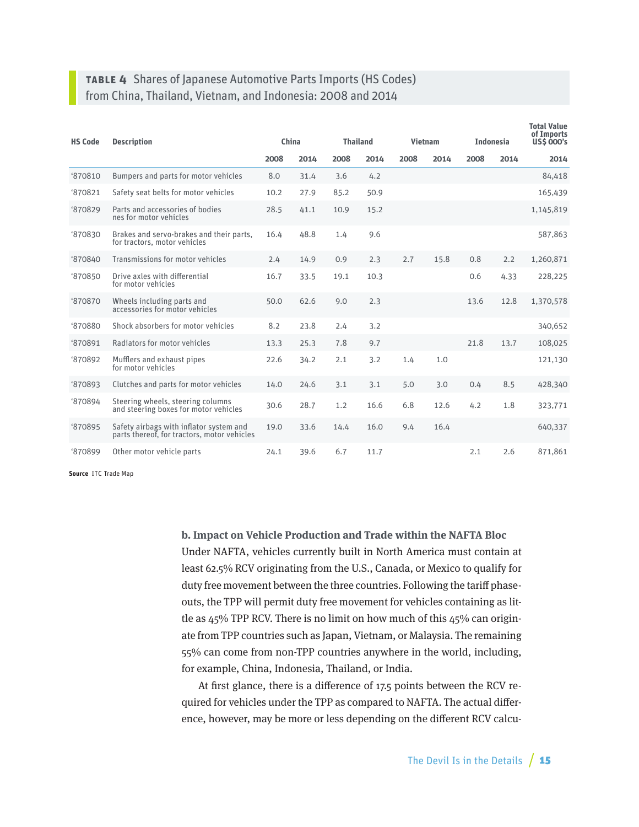## **Table 4** Shares of Japanese Automotive Parts Imports (HS Codes) from China, Thailand, Vietnam, and Indonesia: 2008 and 2014

| <b>HS Code</b><br><b>Description</b> |                                                                                        | China |      | <b>Thailand</b> |      | <b>Vietnam</b> |      | <b>Indonesia</b> |      | <b>Total Value</b><br>of Imports<br><b>US\$ 000's</b> |
|--------------------------------------|----------------------------------------------------------------------------------------|-------|------|-----------------|------|----------------|------|------------------|------|-------------------------------------------------------|
|                                      |                                                                                        | 2008  | 2014 | 2008            | 2014 | 2008           | 2014 | 2008             | 2014 | 2014                                                  |
| '870810                              | Bumpers and parts for motor vehicles                                                   | 8.0   | 31.4 | 3.6             | 4.2  |                |      |                  |      | 84,418                                                |
| \$70821                              | Safety seat belts for motor vehicles                                                   | 10.2  | 27.9 | 85.2            | 50.9 |                |      |                  |      | 165,439                                               |
| '870829                              | Parts and accessories of bodies<br>nes for motor vehicles                              | 28.5  | 41.1 | 10.9            | 15.2 |                |      |                  |      | 1,145,819                                             |
| \$70830                              | Brakes and servo-brakes and their parts,<br>for tractors, motor vehicles               | 16.4  | 48.8 | 1.4             | 9.6  |                |      |                  |      | 587,863                                               |
| '870840                              | Transmissions for motor vehicles                                                       | 2.4   | 14.9 | 0.9             | 2.3  | 2.7            | 15.8 | 0.8              | 2.2  | 1,260,871                                             |
| \$70850                              | Drive axles with differential<br>for motor vehicles                                    | 16.7  | 33.5 | 19.1            | 10.3 |                |      | 0.6              | 4.33 | 228,225                                               |
| \$70870                              | Wheels including parts and<br>accessories for motor vehicles                           | 50.0  | 62.6 | 9.0             | 2.3  |                |      | 13.6             | 12.8 | 1,370,578                                             |
| \$70880                              | Shock absorbers for motor vehicles                                                     | 8.2   | 23.8 | 2.4             | 3.2  |                |      |                  |      | 340,652                                               |
| '870891                              | Radiators for motor vehicles                                                           | 13.3  | 25.3 | 7.8             | 9.7  |                |      | 21.8             | 13.7 | 108,025                                               |
| '870892                              | Mufflers and exhaust pipes<br>for motor vehicles                                       | 22.6  | 34.2 | 2.1             | 3.2  | 1.4            | 1.0  |                  |      | 121,130                                               |
| <b>'870893</b>                       | Clutches and parts for motor vehicles                                                  | 14.0  | 24.6 | 3.1             | 3.1  | 5.0            | 3.0  | 0.4              | 8.5  | 428,340                                               |
| '870894                              | Steering wheels, steering columns<br>and steering boxes for motor vehicles             | 30.6  | 28.7 | 1.2             | 16.6 | 6.8            | 12.6 | 4.2              | 1.8  | 323,771                                               |
| '870895                              | Safety airbags with inflator system and<br>parts thereof, for tractors, motor vehicles | 19.0  | 33.6 | 14.4            | 16.0 | 9.4            | 16.4 |                  |      | 640,337                                               |
| <b>'870899</b>                       | Other motor vehicle parts                                                              | 24.1  | 39.6 | 6.7             | 11.7 |                |      | 2.1              | 2.6  | 871,861                                               |

**Source** ITC Trade Map

**b. Impact on Vehicle Production and Trade within the NAFTA Bloc** Under NAFTA, vehicles currently built in North America must contain at least 62.5% RCV originating from the U.S., Canada, or Mexico to qualify for duty free movement between the three countries. Following the tariff phaseouts, the TPP will permit duty free movement for vehicles containing as little as 45% TPP RCV. There is no limit on how much of this 45% can originate from TPP countries such as Japan, Vietnam, or Malaysia. The remaining 55% can come from non-TPP countries anywhere in the world, including, for example, China, Indonesia, Thailand, or India.

At first glance, there is a difference of 17.5 points between the RCV required for vehicles under the TPP as compared to NAFTA. The actual difference, however, may be more or less depending on the different RCV calcu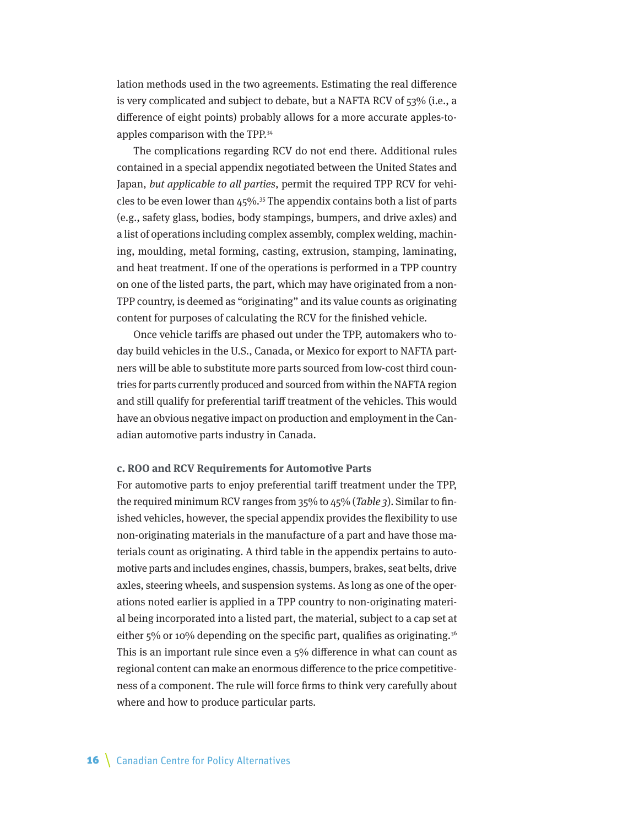lation methods used in the two agreements. Estimating the real difference is very complicated and subject to debate, but a NAFTA RCV of 53% (i.e., a difference of eight points) probably allows for a more accurate apples-toapples comparison with the TPP.34

The complications regarding RCV do not end there. Additional rules contained in a special appendix negotiated between the United States and Japan, but applicable to all parties, permit the required TPP RCV for vehicles to be even lower than  $45\%$ .<sup>35</sup> The appendix contains both a list of parts (e.g., safety glass, bodies, body stampings, bumpers, and drive axles) and a list of operations including complex assembly, complex welding, machining, moulding, metal forming, casting, extrusion, stamping, laminating, and heat treatment. If one of the operations is performed in a TPP country on one of the listed parts, the part, which may have originated from a non-TPP country, is deemed as "originating" and its value counts as originating content for purposes of calculating the RCV for the finished vehicle.

Once vehicle tariffs are phased out under the TPP, automakers who today build vehicles in the U.S., Canada, or Mexico for export to NAFTA partners will be able to substitute more parts sourced from low-cost third countries for parts currently produced and sourced from within the NAFTA region and still qualify for preferential tariff treatment of the vehicles. This would have an obvious negative impact on production and employment in the Canadian automotive parts industry in Canada.

#### **c. ROO and RCV Requirements for Automotive Parts**

For automotive parts to enjoy preferential tariff treatment under the TPP, the required minimum RCV ranges from  $35\%$  to  $45\%$  (Table 3). Similar to finished vehicles, however, the special appendix provides the flexibility to use non-originating materials in the manufacture of a part and have those materials count as originating. A third table in the appendix pertains to automotive parts and includes engines, chassis, bumpers, brakes, seat belts, drive axles, steering wheels, and suspension systems. As long as one of the operations noted earlier is applied in a TPP country to non-originating material being incorporated into a listed part, the material, subject to a cap set at either  $5\%$  or 10% depending on the specific part, qualifies as originating.<sup>36</sup> This is an important rule since even a 5% difference in what can count as regional content can make an enormous difference to the price competitiveness of a component. The rule will force firms to think very carefully about where and how to produce particular parts.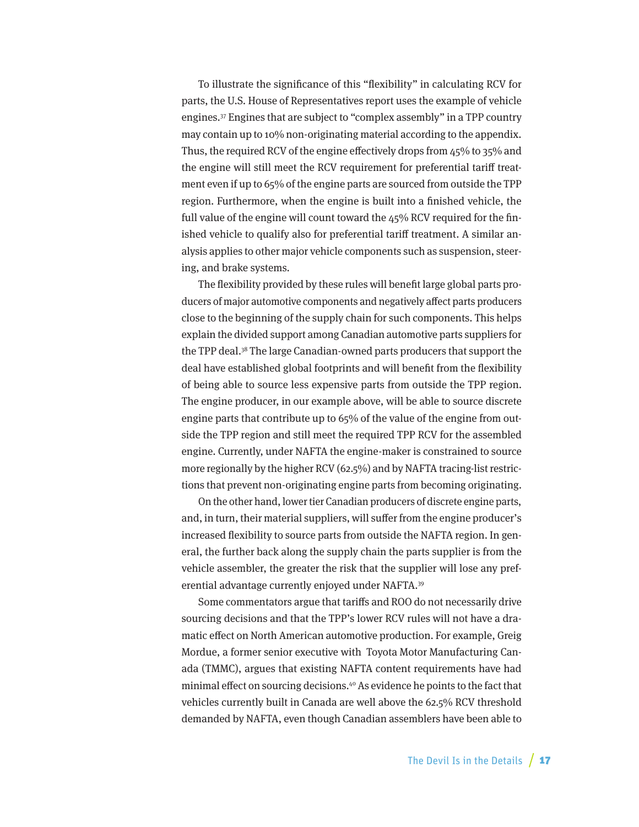To illustrate the significance of this "flexibility" in calculating RCV for parts, the U.S. House of Representatives report uses the example of vehicle engines.37 Engines that are subject to "complex assembly" in a TPP country may contain up to 10% non-originating material according to the appendix. Thus, the required RCV of the engine effectively drops from 45% to 35% and the engine will still meet the RCV requirement for preferential tariff treatment even if up to 65% of the engine parts are sourced from outside the TPP region. Furthermore, when the engine is built into a finished vehicle, the full value of the engine will count toward the 45% RCV required for the finished vehicle to qualify also for preferential tariff treatment. A similar analysis applies to other major vehicle components such as suspension, steering, and brake systems.

The flexibility provided by these rules will benefit large global parts producers of major automotive components and negatively affect parts producers close to the beginning of the supply chain for such components. This helps explain the divided support among Canadian automotive parts suppliers for the TPP deal.38 The large Canadian-owned parts producers that support the deal have established global footprints and will benefit from the flexibility of being able to source less expensive parts from outside the TPP region. The engine producer, in our example above, will be able to source discrete engine parts that contribute up to 65% of the value of the engine from outside the TPP region and still meet the required TPP RCV for the assembled engine. Currently, under NAFTA the engine-maker is constrained to source more regionally by the higher RCV (62.5%) and by NAFTA tracing-list restrictions that prevent non-originating engine parts from becoming originating.

On the other hand, lower tier Canadian producers of discrete engine parts, and, in turn, their material suppliers, will suffer from the engine producer's increased flexibility to source parts from outside the NAFTA region. In general, the further back along the supply chain the parts supplier is from the vehicle assembler, the greater the risk that the supplier will lose any preferential advantage currently enjoyed under NAFTA.39

Some commentators argue that tariffs and ROO do not necessarily drive sourcing decisions and that the TPP's lower RCV rules will not have a dramatic effect on North American automotive production. For example, Greig Mordue, a former senior executive with Toyota Motor Manufacturing Canada (TMMC), argues that existing NAFTA content requirements have had minimal effect on sourcing decisions.40 As evidence he points to the fact that vehicles currently built in Canada are well above the 62.5% RCV threshold demanded by NAFTA, even though Canadian assemblers have been able to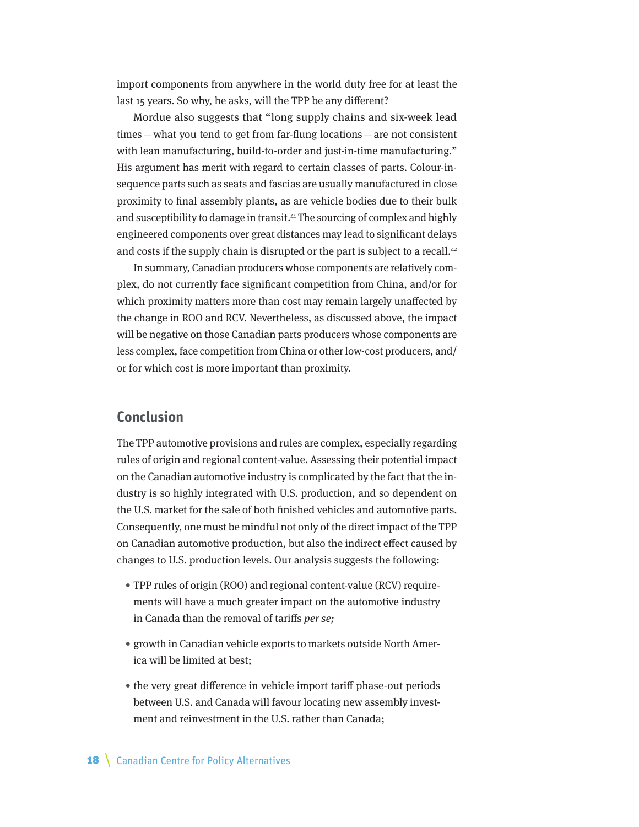<span id="page-17-0"></span>import components from anywhere in the world duty free for at least the last 15 years. So why, he asks, will the TPP be any different?

Mordue also suggests that "long supply chains and six-week lead times—what you tend to get from far-flung locations—are not consistent with lean manufacturing, build-to-order and just-in-time manufacturing." His argument has merit with regard to certain classes of parts. Colour-insequence parts such as seats and fascias are usually manufactured in close proximity to final assembly plants, as are vehicle bodies due to their bulk and susceptibility to damage in transit.<sup>41</sup> The sourcing of complex and highly engineered components over great distances may lead to significant delays and costs if the supply chain is disrupted or the part is subject to a recall.<sup>42</sup>

In summary, Canadian producers whose components are relatively complex, do not currently face significant competition from China, and/or for which proximity matters more than cost may remain largely unaffected by the change in ROO and RCV. Nevertheless, as discussed above, the impact will be negative on those Canadian parts producers whose components are less complex, face competition from China or other low-cost producers, and/ or for which cost is more important than proximity.

#### **Conclusion**

The TPP automotive provisions and rules are complex, especially regarding rules of origin and regional content-value. Assessing their potential impact on the Canadian automotive industry is complicated by the fact that the industry is so highly integrated with U.S. production, and so dependent on the U.S. market for the sale of both finished vehicles and automotive parts. Consequently, one must be mindful not only of the direct impact of the TPP on Canadian automotive production, but also the indirect effect caused by changes to U.S. production levels. Our analysis suggests the following:

- TPP rules of origin (ROO) and regional content-value (RCV) requirements will have a much greater impact on the automotive industry in Canada than the removal of tariffs per se;
- growth in Canadian vehicle exports to markets outside North America will be limited at best;
- the very great difference in vehicle import tariff phase-out periods between U.S. and Canada will favour locating new assembly investment and reinvestment in the U.S. rather than Canada;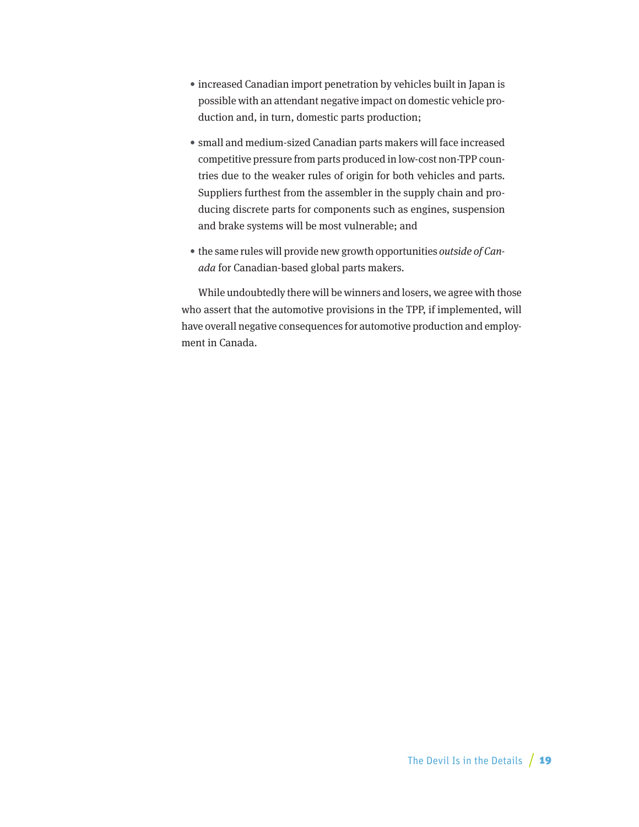- increased Canadian import penetration by vehicles built in Japan is possible with an attendant negative impact on domestic vehicle production and, in turn, domestic parts production;
- small and medium-sized Canadian parts makers will face increased competitive pressure from parts produced in low-cost non-TPP countries due to the weaker rules of origin for both vehicles and parts. Suppliers furthest from the assembler in the supply chain and producing discrete parts for components such as engines, suspension and brake systems will be most vulnerable; and
- the same rules will provide new growth opportunities outside of Canada for Canadian-based global parts makers.

While undoubtedly there will be winners and losers, we agree with those who assert that the automotive provisions in the TPP, if implemented, will have overall negative consequences for automotive production and employment in Canada.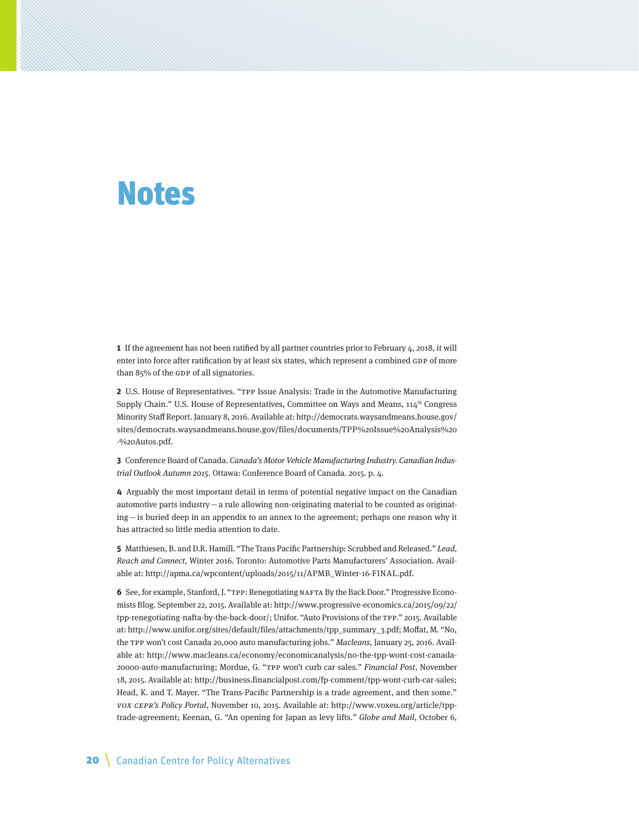# <span id="page-19-0"></span>Notes

**1** If the agreement has not been ratified by all partner countries prior to February 4, 2018, it will enter into force after ratification by at least six states, which represent a combined GDP of more than 85% of the GDP of all signatories.

**2** U.S. House of Representatives. "TPP Issue Analysis: Trade in the Automotive Manufacturing Supply Chain." U.S. House of Representatives, Committee on Ways and Means,  $114<sup>th</sup>$  Congress Minority Staff Report. January 8, 2016. Available at: [http://democrats.waysandmeans.house.gov/](http://democrats.waysandmeans.house.gov/sites/democrats.waysandmeans.house.gov/files/documents/TPP%20Issue%20Analysis%20-%20Autos.pdf) [sites/democrats.waysandmeans.house.gov/files/documents/TPP%20Issue%20Analysis%20](http://democrats.waysandmeans.house.gov/sites/democrats.waysandmeans.house.gov/files/documents/TPP%20Issue%20Analysis%20-%20Autos.pdf) [-%20Autos.pdf.](http://democrats.waysandmeans.house.gov/sites/democrats.waysandmeans.house.gov/files/documents/TPP%20Issue%20Analysis%20-%20Autos.pdf)

**3** Conference Board of Canada. Canada's Motor Vehicle Manufacturing Industry. Canadian Industrial Outlook Autumn 2015. Ottawa: Conference Board of Canada. 2015. p. 4.

**4** Arguably the most important detail in terms of potential negative impact on the Canadian automotive parts industry—a rule allowing non-originating material to be counted as originating—is buried deep in an appendix to an annex to the agreement; perhaps one reason why it has attracted so little media attention to date.

**5** Matthiesen, B. and D.R. Hamill. "The Trans Pacific Partnership: Scrubbed and Released." Lead, Reach and Connect, Winter 2016. Toronto: Automotive Parts Manufacturers' Association. Available at: [http://apma.ca/wpcontent/uploads/2015/11/APMB\\_Winter-16-FINAL.pdf.](http://apma.ca/wpcontent/uploads/2015/11/APMB_Winter-16-FINAL.pdf)

**6** See, for example, Stanford, J. "TPP: Renegotiating NAFTA By the Back Door." Progressive Economists Blog. September 22, 2015. Available at: [http://www.progressive-economics.ca/2015/09/22/](http://www.progressive-economics.ca/2015/09/22/tpp-renegotiating-nafta-by-the-back-door/) [tpp-renegotiating-nafta-by-the-back-door/](http://www.progressive-economics.ca/2015/09/22/tpp-renegotiating-nafta-by-the-back-door/); Unifor. "Auto Provisions of the TPP." 2015. Available at: [http://www.unifor.org/sites/default/files/attachments/tpp\\_summary\\_3.pdf](http://www.unifor.org/sites/default/files/attachments/tpp_summary_3.pdf); Moffat, M. "No, the TPP won't cost Canada 20,000 auto manufacturing jobs." Macleans, January 25, 2016. Available at: [http://www.macleans.ca/economy/economicanalysis/no-the-tpp-wont-cost-canada-](http://www.macleans.ca/economy/economicanalysis/no-the-tpp-wont-cost-canada-20000-auto-manufacturing)[20000-auto-manufacturing;](http://www.macleans.ca/economy/economicanalysis/no-the-tpp-wont-cost-canada-20000-auto-manufacturing) Mordue, G. "TPP won't curb car sales." Financial Post, November 18, 2015. Available at:<http://business.financialpost.com/fp-comment/tpp-wont-curb-car-sales>; Head, K. and T. Mayer. "The Trans-Pacific Partnership is a trade agreement, and then some." VOX CEPR's Policy Portal, November 10, 2015. Available at: [http://www.voxeu.org/article/tpp](http://www.voxeu.org/article/tpp-trade-agreement)[trade-agreement;](http://www.voxeu.org/article/tpp-trade-agreement) Keenan, G. "An opening for Japan as levy lifts." Globe and Mail, October 6,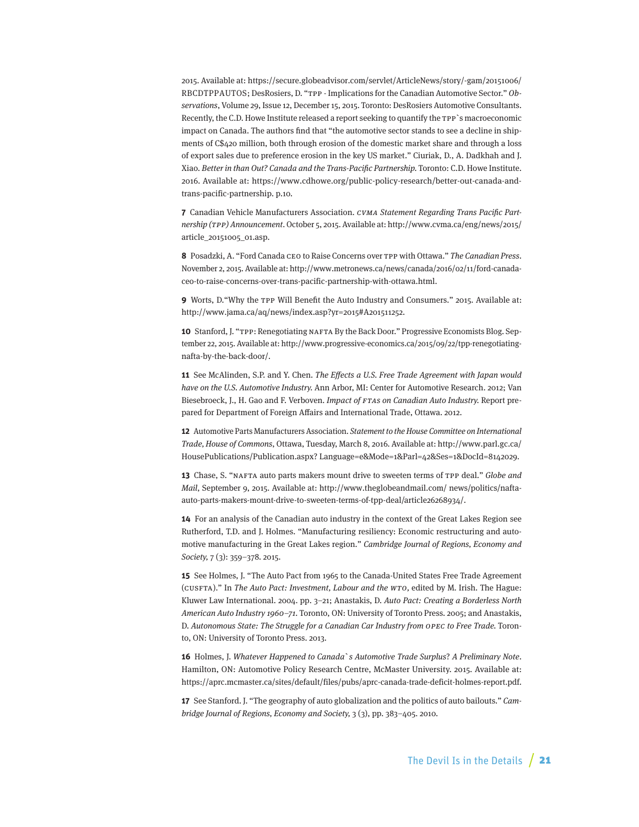2015. Available at: [https://secure.globeadvisor.com/servlet/ArticleNews/story/-gam/20151006/](https://secure.globeadvisor.com/servlet/ArticleNews/story/-gam/20151006/RBCDTPPAUTOS) [RBCDTPPAUTOS](https://secure.globeadvisor.com/servlet/ArticleNews/story/-gam/20151006/RBCDTPPAUTOS); DesRosiers, D. "TPP - Implications for the Canadian Automotive Sector." Observations, Volume 29, Issue 12, December 15, 2015. Toronto: DesRosiers Automotive Consultants. Recently, the C.D. Howe Institute released a report seeking to quantify the TPP`s macroeconomic impact on Canada. The authors find that "the automotive sector stands to see a decline in shipments of C\$420 million, both through erosion of the domestic market share and through a loss of export sales due to preference erosion in the key US market." Ciuriak, D., A. Dadkhah and J. Xiao. Better in than Out? Canada and the Trans-Pacific Partnership. Toronto: C.D. Howe Institute. 2016. Available at: [https://www.cdhowe.org/public-policy-research/better-out-canada-and](https://www.cdhowe.org/public-policy-research/better-out-canada-and-trans-pacific-partnership)[trans-pacific-partnership](https://www.cdhowe.org/public-policy-research/better-out-canada-and-trans-pacific-partnership). p.10.

**7** Canadian Vehicle Manufacturers Association. CVMA Statement Regarding Trans Pacific Partnership (TPP) Announcement. October 5, 2015. Available at: [http://www.cvma.ca/eng/news/2015/](http://www.cvma.ca/eng/news/2015/article_20151005_01.asp) [article\\_20151005\\_01.asp](http://www.cvma.ca/eng/news/2015/article_20151005_01.asp).

**8** Posadzki, A. "Ford Canada CEO to Raise Concerns over TPP with Ottawa." The Canadian Press. November 2, 2015. Available at: [http://www.metronews.ca/news/canada/2016/02/11/ford-canada](http://www.metronews.ca/news/canada/2016/02/11/ford-canada-ceo-to-raise-concerns-over-trans-pacific-partnership-with-ottawa.html)[ceo-to-raise-concerns-over-trans-pacific-partnership-with-ottawa.html.](http://www.metronews.ca/news/canada/2016/02/11/ford-canada-ceo-to-raise-concerns-over-trans-pacific-partnership-with-ottawa.html)

**9** Worts, D."Why the TPP Will Benefit the Auto Industry and Consumers." 2015. Available at: http://www.jama.ca/aq/news/index.asp?yr=2015#A201511252.

**10** Stanford, J. "TPP: Renegotiating NAFTA By the Back Door." Progressive Economists Blog. September 22, 2015. Available at: [http://www.progressive-economics.ca/2015/09/22/tpp-renegotiating](http://www.progressive-economics.ca/2015/09/22/tpp-renegotiating-nafta-by-the-back-door/)[nafta-by-the-back-door/](http://www.progressive-economics.ca/2015/09/22/tpp-renegotiating-nafta-by-the-back-door/).

**11** See McAlinden, S.P. and Y. Chen. The Effects a U.S. Free Trade Agreement with Japan would have on the U.S. Automotive Industry. Ann Arbor, MI: Center for Automotive Research. 2012; Van Biesebroeck, J., H. Gao and F. Verboven. Impact of FTAs on Canadian Auto Industry. Report prepared for Department of Foreign Affairs and International Trade, Ottawa. 2012.

**12** Automotive Parts Manufacturers Association. Statement to the House Committee on International Trade, House of Commons, Ottawa, Tuesday, March 8, 2016. Available at: [http://www.parl.gc.ca/](http://www.parl.gc.ca/HousePublications/Publication.aspx?%20Language=e&Mode=1&Parl=42&Ses=1&DocId=8142029) [HousePublications/Publication.aspx? Language=e&Mode=1&Parl=42&Ses=1&DocId=8142029.](http://www.parl.gc.ca/HousePublications/Publication.aspx?%20Language=e&Mode=1&Parl=42&Ses=1&DocId=8142029)

**13** Chase, S. "NAFTA auto parts makers mount drive to sweeten terms of TPP deal." Globe and Mail, September 9, 2015. Available at: [http://www.theglobeandmail.com/ news/politics/nafta](http://www.theglobeandmail.com/%20news/politics/nafta-auto-parts-makers-mount-drive-to-sweeten-terms-of-tpp-deal/article26268934/)[auto-parts-makers-mount-drive-to-sweeten-terms-of-tpp-deal/article26268934/.](http://www.theglobeandmail.com/%20news/politics/nafta-auto-parts-makers-mount-drive-to-sweeten-terms-of-tpp-deal/article26268934/)

**14** For an analysis of the Canadian auto industry in the context of the Great Lakes Region see Rutherford, T.D. and J. Holmes. "Manufacturing resiliency: Economic restructuring and automotive manufacturing in the Great Lakes region." Cambridge Journal of Regions, Economy and Society, 7 (3): 359–378. 2015.

**15** See Holmes, J. "The Auto Pact from 1965 to the Canada-United States Free Trade Agreement (CUSFTA)." In The Auto Pact: Investment, Labour and the WTO, edited by M. Irish. The Hague: Kluwer Law International. 2004. pp. 3–21; Anastakis, D. Auto Pact: Creating a Borderless North American Auto Industry 1960–71. Toronto, ON: University of Toronto Press. 2005; and Anastakis, D. Autonomous State: The Struggle for a Canadian Car Industry from OPEC to Free Trade. Toronto, ON: University of Toronto Press. 2013.

**16** Holmes, J. Whatever Happened to Canada`s Automotive Trade Surplus? A Preliminary Note. Hamilton, ON: Automotive Policy Research Centre, McMaster University. 2015. Available at: [https://aprc.mcmaster.ca/sites/default/files/pubs/aprc-canada-trade-deficit-holmes-report.pdf.](https://aprc.mcmaster.ca/sites/default/files/pubs/aprc-canada-trade-deficit-holmes-report.pdf)

**17** See Stanford. J. "The geography of auto globalization and the politics of auto bailouts." Cambridge Journal of Regions, Economy and Society, 3 (3), pp. 383–405. 2010.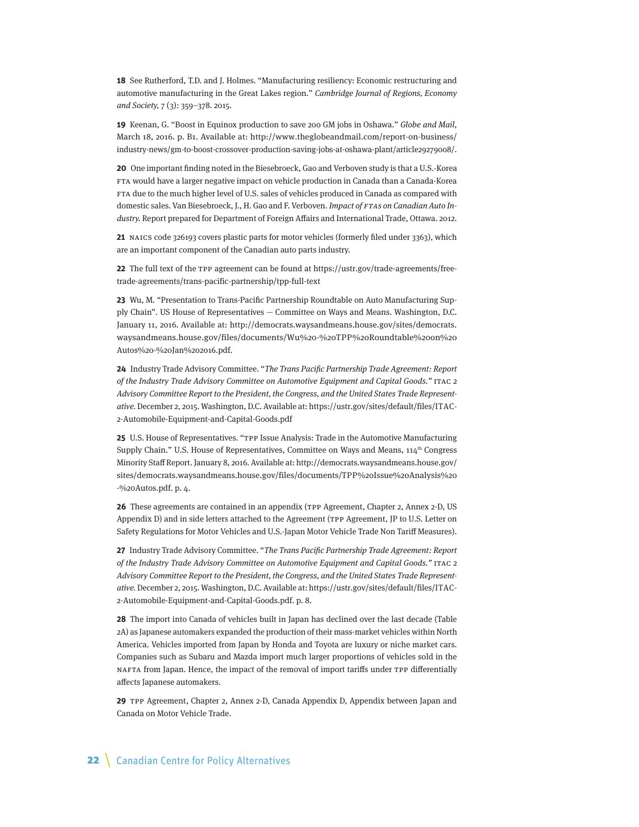**18** See Rutherford, T.D. and J. Holmes. "Manufacturing resiliency: Economic restructuring and automotive manufacturing in the Great Lakes region." Cambridge Journal of Regions, Economy and Society, 7 (3): 359–378. 2015.

**19** Keenan, G. "Boost in Equinox production to save 200 GM jobs in Oshawa." Globe and Mail, March 18, 2016. p. B1. Available at: [http://www.theglobeandmail.com/report-on-business/](http://www.theglobeandmail.com/report-on-business/industry-news/gm-to-boost-crossover-production-saving-jobs-at-oshawa-plant/article29279008/) [industry-news/gm-to-boost-crossover-production-saving-jobs-at-oshawa-plant/article29279008/.](http://www.theglobeandmail.com/report-on-business/industry-news/gm-to-boost-crossover-production-saving-jobs-at-oshawa-plant/article29279008/)

**20** One important finding noted in the Biesebroeck, Gao and Verboven study is that a U.S.-Korea FTA would have a larger negative impact on vehicle production in Canada than a Canada-Korea FTA due to the much higher level of U.S. sales of vehicles produced in Canada as compared with domestic sales. Van Biesebroeck, J., H. Gao and F. Verboven. Impact of FTAs on Canadian Auto Industry. Report prepared for Department of Foreign Affairs and International Trade, Ottawa. 2012.

**21** NAICS code 326193 covers plastic parts for motor vehicles (formerly filed under 3363), which are an important component of the Canadian auto parts industry.

**22** The full text of the TPP agreement can be found at [https://ustr.gov/trade-agreements/free](https://ustr.gov/trade-agreements/free-trade-agreements/trans-pacific-partnership/tpp-full-text)[trade-agreements/trans-pacific-partnership/tpp-full-text](https://ustr.gov/trade-agreements/free-trade-agreements/trans-pacific-partnership/tpp-full-text)

**23** Wu, M. "Presentation to Trans-Pacific Partnership Roundtable on Auto Manufacturing Supply Chain". US House of Representatives — Committee on Ways and Means. Washington, D.C. January 11, 2016. Available at: [http://democrats.waysandmeans.house.gov/sites/democrats.](http://democrats.waysandmeans.house.gov/sites/democrats.waysandmeans.house.gov/files/documents/Wu%20-%20TPP%20Roundtable%20on%20Autos%20-%20Jan%202016.pdf) [waysandmeans.house.gov/files/documents/Wu%20-%20TPP%20Roundtable%20on%20](http://democrats.waysandmeans.house.gov/sites/democrats.waysandmeans.house.gov/files/documents/Wu%20-%20TPP%20Roundtable%20on%20Autos%20-%20Jan%202016.pdf) [Autos%20-%20Jan%202016.pdf.](http://democrats.waysandmeans.house.gov/sites/democrats.waysandmeans.house.gov/files/documents/Wu%20-%20TPP%20Roundtable%20on%20Autos%20-%20Jan%202016.pdf)

**24** Industry Trade Advisory Committee. "The Trans Pacific Partnership Trade Agreement: Report of the Industry Trade Advisory Committee on Automotive Equipment and Capital Goods." ITAC 2 Advisory Committee Report to the President, the Congress, and the United States Trade Representative. December 2, 2015. Washington, D.C. Available at: [https://ustr.gov/sites/default/files/ITAC-](https://ustr.gov/sites/default/files/ITAC-2-Automobile-Equipment-and-Capital-Goods.pdf)[2-Automobile-Equipment-and-Capital-Goods.pdf](https://ustr.gov/sites/default/files/ITAC-2-Automobile-Equipment-and-Capital-Goods.pdf)

**25** U.S. House of Representatives. "TPP Issue Analysis: Trade in the Automotive Manufacturing Supply Chain." U.S. House of Representatives, Committee on Ways and Means,  $114<sup>th</sup>$  Congress Minority Staff Report. January 8, 2016. Available at: [http://democrats.waysandmeans.house.gov/](http://democrats.waysandmeans.house.gov/sites/democrats.waysandmeans.house.gov/files/documents/TPP%20Issue%20Analysis%20-%20Autos.pdf) [sites/democrats.waysandmeans.house.gov/files/documents/TPP%20Issue%20Analysis%20](http://democrats.waysandmeans.house.gov/sites/democrats.waysandmeans.house.gov/files/documents/TPP%20Issue%20Analysis%20-%20Autos.pdf) [-%20Autos.pdf.](http://democrats.waysandmeans.house.gov/sites/democrats.waysandmeans.house.gov/files/documents/TPP%20Issue%20Analysis%20-%20Autos.pdf) p. 4.

**26** These agreements are contained in an appendix (TPP Agreement, Chapter 2, Annex 2-D, US Appendix D) and in side letters attached to the Agreement (TPP Agreement, JP to U.S. Letter on Safety Regulations for Motor Vehicles and U.S.-Japan Motor Vehicle Trade Non Tariff Measures).

**27** Industry Trade Advisory Committee. "The Trans Pacific Partnership Trade Agreement: Report of the Industry Trade Advisory Committee on Automotive Equipment and Capital Goods." ITAC 2 Advisory Committee Report to the President, the Congress, and the United States Trade Representative. December 2, 2015. Washington, D.C. Available at: [https://ustr.gov/sites/default/files/ITAC-](https://ustr.gov/sites/default/files/ITAC-2-Automobile-Equipment-and-Capital-Goods.pdf)[2-Automobile-Equipment-and-Capital-Goods.pdf](https://ustr.gov/sites/default/files/ITAC-2-Automobile-Equipment-and-Capital-Goods.pdf). p. 8.

**28** The import into Canada of vehicles built in Japan has declined over the last decade (Table 2A) as Japanese automakers expanded the production of their mass-market vehicles within North America. Vehicles imported from Japan by Honda and Toyota are luxury or niche market cars. Companies such as Subaru and Mazda import much larger proportions of vehicles sold in the NAFTA from Japan. Hence, the impact of the removal of import tariffs under TPP differentially affects Japanese automakers.

**29** TPP Agreement, Chapter 2, Annex 2-D, Canada Appendix D, Appendix between Japan and Canada on Motor Vehicle Trade.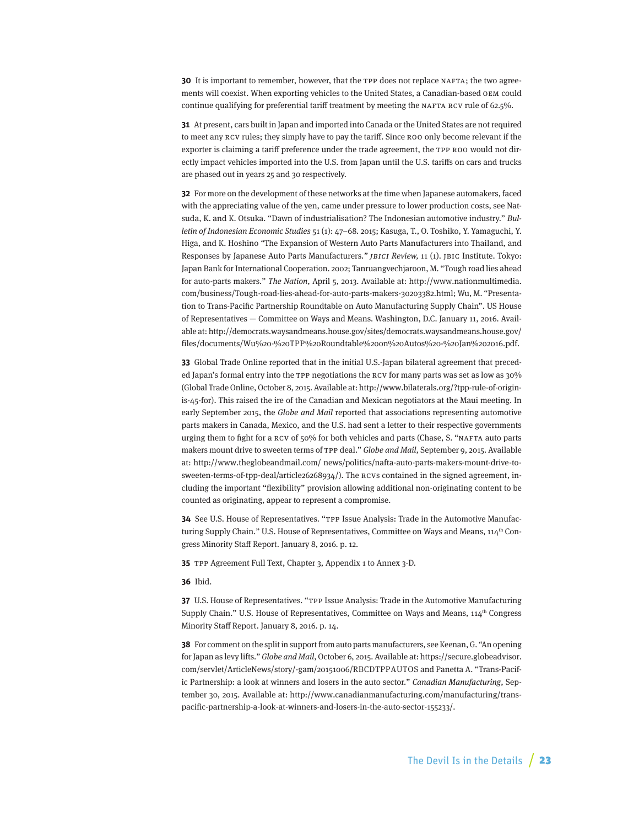**30** It is important to remember, however, that the TPP does not replace NAFTA; the two agreements will coexist. When exporting vehicles to the United States, a Canadian-based OEM could continue qualifying for preferential tariff treatment by meeting the NAFTA RCV rule of 62.5%.

**31** At present, cars built in Japan and imported into Canada or the United States are not required to meet any RCV rules; they simply have to pay the tariff. Since ROO only become relevant if the exporter is claiming a tariff preference under the trade agreement, the TPP ROO would not directly impact vehicles imported into the U.S. from Japan until the U.S. tariffs on cars and trucks are phased out in years 25 and 30 respectively.

**32** For more on the development of these networks at the time when Japanese automakers, faced with the appreciating value of the yen, came under pressure to lower production costs, see Natsuda, K. and K. Otsuka. "Dawn of industrialisation? The Indonesian automotive industry." Bulletin of Indonesian Economic Studies 51 (1): 47–68. 2015; Kasuga, T., O. Toshiko, Y. Yamaguchi, Y. Higa, and K. Hoshino "The Expansion of Western Auto Parts Manufacturers into Thailand, and Responses by Japanese Auto Parts Manufacturers." *JBICI Review*, 11 (1). JBIC Institute. Tokyo: Japan Bank for International Cooperation. 2002; Tanruangvechjaroon, M. "Tough road lies ahead for auto-parts makers." The Nation, April 5, 2013. Available at: [http://www.nationmultimedia.](http://www.nationmultimedia.com/business/Tough-road-lies-ahead-for-auto-parts-makers-30203382.html) [com/business/Tough-road-lies-ahead-for-auto-parts-makers-30203382.html](http://www.nationmultimedia.com/business/Tough-road-lies-ahead-for-auto-parts-makers-30203382.html); Wu, M. "Presentation to Trans-Pacific Partnership Roundtable on Auto Manufacturing Supply Chain". US House of Representatives — Committee on Ways and Means. Washington, D.C. January 11, 2016. Available at: [http://democrats.waysandmeans.house.gov/sites/democrats.waysandmeans.house.gov/](http://democrats.waysandmeans.house.gov/sites/democrats.waysandmeans.house.gov/files/documents/Wu%20-%20TPP%20Roundtable%20on%20Autos%20-%20Jan%202016.pdf) [files/documents/Wu%20-%20TPP%20Roundtable%20on%20Autos%20-%20Jan%202016.pdf.](http://democrats.waysandmeans.house.gov/sites/democrats.waysandmeans.house.gov/files/documents/Wu%20-%20TPP%20Roundtable%20on%20Autos%20-%20Jan%202016.pdf)

**33** Global Trade Online reported that in the initial U.S.-Japan bilateral agreement that preceded Japan's formal entry into the TPP negotiations the RCV for many parts was set as low as 30% (Global Trade Online, October 8, 2015. Available at: [http://www.bilaterals.org/?tpp-rule-of-origin](http://www.bilaterals.org/?tpp-rule-of-origin-is-45-for)[is-45-for](http://www.bilaterals.org/?tpp-rule-of-origin-is-45-for)). This raised the ire of the Canadian and Mexican negotiators at the Maui meeting. In early September 2015, the Globe and Mail reported that associations representing automotive parts makers in Canada, Mexico, and the U.S. had sent a letter to their respective governments urging them to fight for a RCV of 50% for both vehicles and parts (Chase, S. "NAFTA auto parts makers mount drive to sweeten terms of TPP deal." Globe and Mail, September 9, 2015. Available at: [http://www.theglobeandmail.com/ news/politics/nafta-auto-parts-makers-mount-drive-to](http://www.theglobeandmail.com/%20news/politics/nafta-auto-parts-makers-mount-drive-to-sweeten-terms-of-tpp-deal/article26268934/)[sweeten-terms-of-tpp-deal/article26268934/](http://www.theglobeandmail.com/%20news/politics/nafta-auto-parts-makers-mount-drive-to-sweeten-terms-of-tpp-deal/article26268934/)). The RCVs contained in the signed agreement, including the important "flexibility" provision allowing additional non-originating content to be counted as originating, appear to represent a compromise.

**34** See U.S. House of Representatives. "TPP Issue Analysis: Trade in the Automotive Manufacturing Supply Chain." U.S. House of Representatives, Committee on Ways and Means, 114<sup>th</sup> Congress Minority Staff Report. January 8, 2016. p. 12.

**35** TPP Agreement Full Text, Chapter 3, Appendix 1 to Annex 3-D.

**36** Ibid.

**37** U.S. House of Representatives. "TPP Issue Analysis: Trade in the Automotive Manufacturing Supply Chain." U.S. House of Representatives, Committee on Ways and Means, 114<sup>th</sup> Congress Minority Staff Report. January 8, 2016. p. 14.

**38** For comment on the split in support from auto parts manufacturers, see Keenan, G. "An opening for Japan as levy lifts." Globe and Mail, October 6, 2015. Available at: [https://secure.globeadvisor.](https://secure.globeadvisor.com/servlet/ArticleNews/story/-gam/20151006/RBCDTPPAUTOS) [com/servlet/ArticleNews/story/-gam/20151006/RBCDTPPAUTOS](https://secure.globeadvisor.com/servlet/ArticleNews/story/-gam/20151006/RBCDTPPAUTOS) and Panetta A. "Trans-Pacific Partnership: a look at winners and losers in the auto sector." Canadian Manufacturing, September 30, 2015. Available at: [http://www.canadianmanufacturing.com/manufacturing/trans](http://www.canadianmanufacturing.com/manufacturing/trans-pacific-partnership-a-look-at-winners-and-losers-in-the-auto-sector-155233/)[pacific-partnership-a-look-at-winners-and-losers-in-the-auto-sector-155233/](http://www.canadianmanufacturing.com/manufacturing/trans-pacific-partnership-a-look-at-winners-and-losers-in-the-auto-sector-155233/).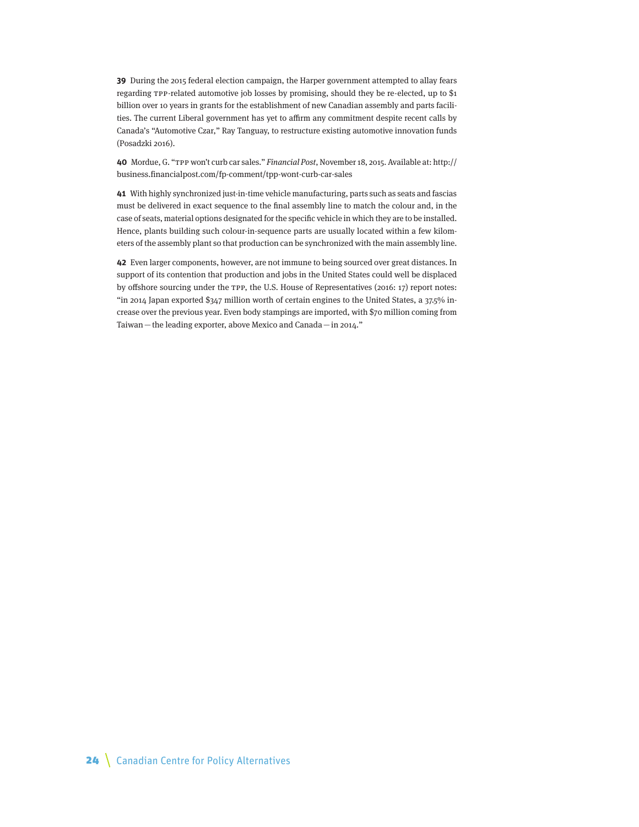**39** During the 2015 federal election campaign, the Harper government attempted to allay fears regarding TPP-related automotive job losses by promising, should they be re-elected, up to \$1 billion over 10 years in grants for the establishment of new Canadian assembly and parts facilities. The current Liberal government has yet to affirm any commitment despite recent calls by Canada's "Automotive Czar," Ray Tanguay, to restructure existing automotive innovation funds (Posadzki 2016).

**40** Mordue, G. "TPP won't curb car sales." Financial Post, November 18, 2015. Available at: [http://](http://business.financialpost.com/fp-comment/tpp-wont-curb-car-sales) [business.financialpost.com/fp-comment/tpp-wont-curb-car-sales](http://business.financialpost.com/fp-comment/tpp-wont-curb-car-sales)

**41** With highly synchronized just-in-time vehicle manufacturing, parts such as seats and fascias must be delivered in exact sequence to the final assembly line to match the colour and, in the case of seats, material options designated for the specific vehicle in which they are to be installed. Hence, plants building such colour-in-sequence parts are usually located within a few kilometers of the assembly plant so that production can be synchronized with the main assembly line.

**42** Even larger components, however, are not immune to being sourced over great distances. In support of its contention that production and jobs in the United States could well be displaced by offshore sourcing under the TPP, the U.S. House of Representatives (2016: 17) report notes: "in 2014 Japan exported \$347 million worth of certain engines to the United States, a 37.5% increase over the previous year. Even body stampings are imported, with \$70 million coming from Taiwan—the leading exporter, above Mexico and Canada—in 2014."